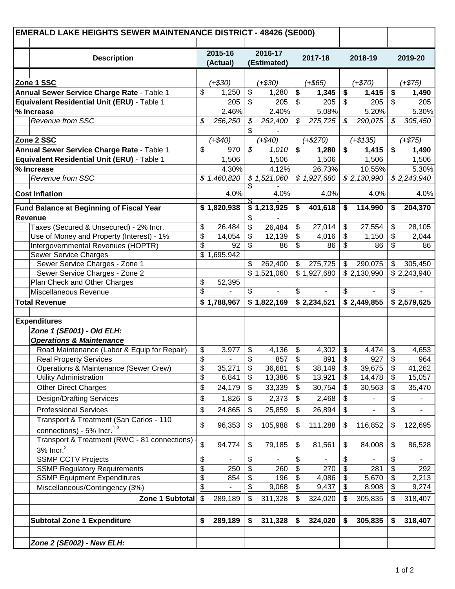| <b>EMERALD LAKE HEIGHTS SEWER MAINTENANCE DISTRICT - 48426 (SE000)</b> |                                              |          |                                               |          |              |          |              |          |              |          |             |
|------------------------------------------------------------------------|----------------------------------------------|----------|-----------------------------------------------|----------|--------------|----------|--------------|----------|--------------|----------|-------------|
|                                                                        | <b>Description</b>                           |          | 2015-16<br>2016-17<br>(Actual)<br>(Estimated) |          | 2017-18      |          | 2018-19      |          | 2019-20      |          |             |
|                                                                        |                                              |          |                                               |          |              |          |              |          |              |          |             |
| Zone 1 SSC                                                             |                                              |          | $(+$30)$                                      |          | $(+$30)$     |          | $(+$65)$     |          | $(+$70)$     |          | $(+$75)$    |
| Annual Sewer Service Charge Rate - Table 1                             |                                              | \$       | 1,250                                         | \$       | 1,280        | \$       | 1,345        | \$       | 1,415        | \$       | 1,490       |
| Equivalent Residential Unit (ERU) - Table 1                            |                                              |          | 205                                           | \$       | 205          | \$       | 205          | \$       | 205          | \$       | 205         |
|                                                                        | % Increase                                   |          | 2.46%                                         |          | 2.40%        |          | 5.08%        |          | 5.20%        |          | 5.30%       |
|                                                                        | Revenue from SSC                             | \$       | 256,250                                       | S        | 262,400      | \$       | 275,725      | \$       | 290,075      | S        | 305,450     |
|                                                                        |                                              |          |                                               | \$       |              |          |              |          |              |          |             |
| Zone 2 SSC                                                             |                                              |          | $(+$40)$                                      |          | $(+$40)$     |          | $(+$270)$    |          | $(+$135)$    |          | $(+$75)$    |
|                                                                        | Annual Sewer Service Charge Rate - Table 1   | \$       | 970                                           | \$       | 1,010        | \$       | 1,280        | \$       | 1,415        | \$       | 1,490       |
|                                                                        | Equivalent Residential Unit (ERU) - Table 1  |          | 1,506                                         |          | 1,506        |          | 1,506        |          | 1,506        |          | 1,506       |
|                                                                        | % Increase                                   |          | 4.30%                                         |          | 4.12%        |          | 26.73%       |          | 10.55%       |          | 5.30%       |
|                                                                        | Revenue from SSC                             |          | \$1,460,820                                   |          | \$1,521,060  |          | \$1,927,680  |          | \$2,130,990  |          | \$2,243,940 |
|                                                                        | <b>Cost Inflation</b>                        |          | 4.0%                                          | S        | 4.0%         |          | 4.0%         |          | 4.0%         |          | 4.0%        |
|                                                                        | Fund Balance at Beginning of Fiscal Year     |          | \$1,820,938                                   |          | \$1,213,925  | \$       | 401,618      | \$       | 114,990      | S        | 204,370     |
|                                                                        | Revenue                                      |          |                                               | \$       |              |          |              |          |              |          |             |
|                                                                        | Taxes (Secured & Unsecured) - 2% Incr.       | \$       | 26,484                                        | \$       | 26,484       | \$       | 27,014       | \$       | 27,554       | \$       | 28,105      |
|                                                                        | Use of Money and Property (Interest) - 1%    | \$       | 14,054                                        | \$       | 12,139       | \$       | 4,016        | \$       | 1,150        | \$       | 2,044       |
|                                                                        | Intergovernmental Revenues (HOPTR)           | \$       | 92                                            | \$       | 86           | \$       | 86           | \$       | 86           | \$       | 86          |
|                                                                        | <b>Sewer Service Charges</b>                 |          | \$1,695,942                                   |          |              |          |              |          |              |          |             |
|                                                                        | Sewer Service Charges - Zone 1               |          |                                               | \$       | 262,400      | \$       | 275,725      | \$       | 290,075      | \$       | 305,450     |
|                                                                        | Sewer Service Charges - Zone 2               |          |                                               |          | \$1,521,060  |          | \$1,927,680  |          | \$2,130,990  |          | \$2,243,940 |
|                                                                        | Plan Check and Other Charges                 | \$       | 52,395                                        |          |              |          |              |          |              |          |             |
|                                                                        | Miscellaneous Revenue                        | \$       |                                               | \$       |              | \$       |              | \$       |              | \$       |             |
|                                                                        | <b>Total Revenue</b>                         |          | 1,788,967                                     |          | \$1,822,169  |          | \$2,234,521  |          | \$2,449,855  |          | \$2,579,625 |
|                                                                        |                                              |          |                                               |          |              |          |              |          |              |          |             |
|                                                                        | <b>Expenditures</b>                          |          |                                               |          |              |          |              |          |              |          |             |
|                                                                        | Zone 1 (SE001) - Old ELH:                    |          |                                               |          |              |          |              |          |              |          |             |
|                                                                        | <b>Operations &amp; Maintenance</b>          |          |                                               |          |              |          |              |          |              |          |             |
|                                                                        | Road Maintenance (Labor & Equip for Repair)  | \$       | 3,977                                         | \$       | 4,136<br>857 | \$<br>\$ | 4,302<br>891 | \$<br>\$ | 4,474<br>927 | \$       | 4,653       |
|                                                                        | <b>Real Property Services</b>                | \$<br>\$ | 35,271                                        | \$<br>\$ |              | \$       | 38,149       | \$       | 39,675       | \$<br>\$ | 964         |
|                                                                        | Operations & Maintenance (Sewer Crew)        | \$       | 6,841                                         | \$       | 36,681       | \$       | 13,921       | \$       |              | \$       | 41,262      |
|                                                                        | <b>Utility Administration</b>                |          |                                               |          | 13,386       |          |              |          | 14,478       |          | 15,057      |
|                                                                        | <b>Other Direct Charges</b>                  | \$       | 24,179                                        | \$       | 33,339       | \$       | 30,754       | \$       | 30,563       | \$       | 35,470      |
|                                                                        | <b>Design/Drafting Services</b>              | \$       | 1,826                                         | \$       | 2,373        | \$       | 2,468        | \$       |              | \$       |             |
|                                                                        | <b>Professional Services</b>                 | \$       | 24,865                                        | \$       | 25,859       | \$       | 26,894       | \$       |              | \$       |             |
|                                                                        | Transport & Treatment (San Carlos - 110      |          |                                               |          |              |          |              |          |              |          |             |
|                                                                        | connections) - 5% Incr. <sup>1,3</sup>       | \$       | 96,353                                        | \$       | 105,988      | \$       | 111,288      | \$       | 116,852      | \$       | 122,695     |
|                                                                        | Transport & Treatment (RWC - 81 connections) |          |                                               |          |              |          |              |          |              |          |             |
|                                                                        | 3% $Incr.2$                                  | \$       | 94,774                                        | \$       | 79,185       | \$       | 81,561       | \$       | 84,008       | \$       | 86,528      |
|                                                                        | <b>SSMP CCTV Projects</b>                    | \$       |                                               | \$       |              | \$       |              | \$       |              | \$       | ۰           |
|                                                                        | <b>SSMP Regulatory Requirements</b>          | \$       | 250                                           | \$       | 260          | \$       | 270          | \$       | 281          | \$       | 292         |
|                                                                        | <b>SSMP Equipment Expenditures</b>           | \$       | 854                                           | \$       | 196          | \$       | 4,086        | \$       | 5,670        | \$       | 2,213       |
|                                                                        | Miscellaneous/Contingency (3%)               | \$       |                                               | \$       | 9,068        | \$       | 9,437        | \$       | 8,908        | \$       | 9,274       |
|                                                                        | Zone 1 Subtotal                              | \$       | 289,189                                       | \$       | 311,328      | \$       | 324,020      | \$       | 305,835      | \$       | 318,407     |
|                                                                        |                                              |          |                                               |          |              |          |              |          |              |          |             |
|                                                                        | <b>Subtotal Zone 1 Expenditure</b>           |          | 289,189                                       | \$       | 311,328      | \$       | 324,020      | \$       | 305,835      | \$       | 318,407     |
|                                                                        |                                              |          |                                               |          |              |          |              |          |              |          |             |
|                                                                        | Zone 2 (SE002) - New ELH:                    |          |                                               |          |              |          |              |          |              |          |             |
|                                                                        |                                              |          |                                               |          |              |          |              |          |              |          |             |